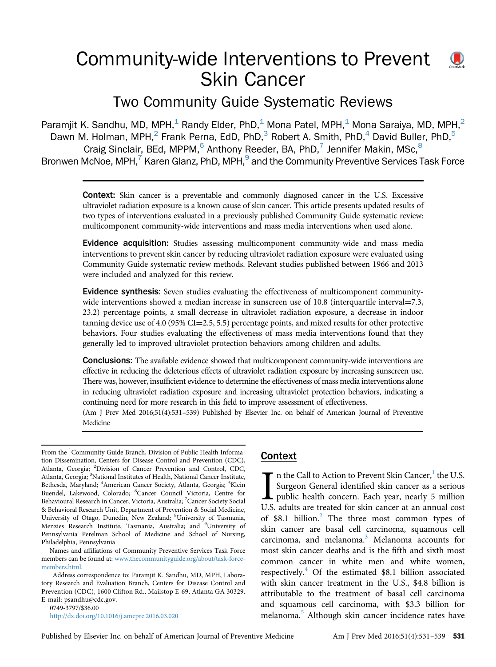# Community-wide Interventions to Prevent Skin Cancer



 $\mathbf{U}$ 

Two Community Guide Systematic Reviews

Paramjit K. Sandhu, MD, MPH,<sup>1</sup> Randy Elder, PhD,<sup>1</sup> Mona Patel, MPH,<sup>1</sup> Mona Saraiya, MD, MPH,<sup>2</sup> Dawn M. Holman, MPH, $^2$  Frank Perna, EdD, PhD, $^3$  Robert A. Smith, PhD, $^4$  David Buller, PhD, $^5$ Craig Sinclair, BEd, MPPM, $6$  Anthony Reeder, BA, PhD, $7$  Jennifer Makin, MSc, $8$ Bronwen McNoe, MPH,<sup>7</sup> Karen Glanz, PhD, MPH,<sup>9</sup> and the Community Preventive Services Task Force

Context: Skin cancer is a preventable and commonly diagnosed cancer in the U.S. Excessive ultraviolet radiation exposure is a known cause of skin cancer. This article presents updated results of two types of interventions evaluated in a previously published Community Guide systematic review: multicomponent community-wide interventions and mass media interventions when used alone.

Evidence acquisition: Studies assessing multicomponent community-wide and mass media interventions to prevent skin cancer by reducing ultraviolet radiation exposure were evaluated using Community Guide systematic review methods. Relevant studies published between 1966 and 2013 were included and analyzed for this review.

Evidence synthesis: Seven studies evaluating the effectiveness of multicomponent communitywide interventions showed a median increase in sunscreen use of  $10.8$  (interquartile interval $=7.3$ , 23.2) percentage points, a small decrease in ultraviolet radiation exposure, a decrease in indoor tanning device use of  $4.0$  (95% CI=2.5, 5.5) percentage points, and mixed results for other protective behaviors. Four studies evaluating the effectiveness of mass media interventions found that they generally led to improved ultraviolet protection behaviors among children and adults.

Conclusions: The available evidence showed that multicomponent community-wide interventions are effective in reducing the deleterious effects of ultraviolet radiation exposure by increasing sunscreen use. There was, however, insufficient evidence to determine the effectiveness of mass media interventions alone in reducing ultraviolet radiation exposure and increasing ultraviolet protection behaviors, indicating a continuing need for more research in this field to improve assessment of effectiveness.

(Am J Prev Med 2016;51(4):531–539) Published by Elsevier Inc. on behalf of American Journal of Preventive Medicine

From the <sup>1</sup>Community Guide Branch, Division of Public Health Information Dissemination, Centers for Disease Control and Prevention (CDC), Atlanta, Georgia; <sup>2</sup>Division of Cancer Prevention and Control, CDC, Atlanta, Georgia; <sup>3</sup>National Institutes of Health, National Cancer Institute, Bethesda, Maryland; <sup>4</sup>American Cancer Society, Atlanta, Georgia; <sup>5</sup>Klein Buendel, Lakewood, Colorado; <sup>6</sup> Cancer Council Victoria, Centre for Behavioural Research in Cancer, Victoria, Australia; <sup>7</sup>Cancer Society Social & Behavioral Research Unit, Department of Prevention & Social Medicine, University of Otago, Dunedin, New Zealand; <sup>8</sup>University of Tasmania, Menzies Research Institute, Tasmania, Australia; and <sup>9</sup>University of Pennsylvania Perelman School of Medicine and School of Nursing, Philadelphia, Pennsylvania

Names and affiliations of Community Preventive Services Task Force members can be found at: [www.thecommunityguide.org/about/task-force](http://www.thecommunityguide.org/about/task-force-members.html)[members.html](http://www.thecommunityguide.org/about/task-force-members.html).

Address correspondence to: Paramjit K. Sandhu, MD, MPH, Laboratory Research and Evaluation Branch, Centers for Disease Control and Prevention (CDC), 1600 Clifton Rd., Mailstop E-69, Atlanta GA 30329. E-mail: [psandhu@cdc.gov.](mailto:psandhu@cdc.gov)

0749-3797/\$36.00

<http://dx.doi.org/10.1016/j.amepre.2016.03.020>

# Context

In the Call to Action to Prevent Skin Cancer,<sup>1</sup> the U.S.<br>Surgeon General identified skin cancer as a serious<br>public health concern. Each year, nearly 5 million<br>U.S. adults are treated for skin cancer at an annual cost  $\Gamma$  n the Call to Action to Prevent Skin Cancer, $\frac{1}{1}$  $\frac{1}{1}$  $\frac{1}{1}$  the U.S. Surgeon General identified skin cancer as a serious public health concern. Each year, nearly 5 million of  $$8.1$  billion.<sup>[2](#page-7-0)</sup> The three most common types of skin cancer are basal cell carcinoma, squamous cell carcinoma, and melanoma.<sup>[3](#page-7-0)</sup> Melanoma accounts for most skin cancer deaths and is the fifth and sixth most common cancer in white men and white women, respectively. $4$  Of the estimated \$8.1 billion associated with skin cancer treatment in the U.S., \$4.8 billion is attributable to the treatment of basal cell carcinoma and squamous cell carcinoma, with \$3.3 billion for melanoma.<sup>[5](#page-7-0)</sup> Although skin cancer incidence rates have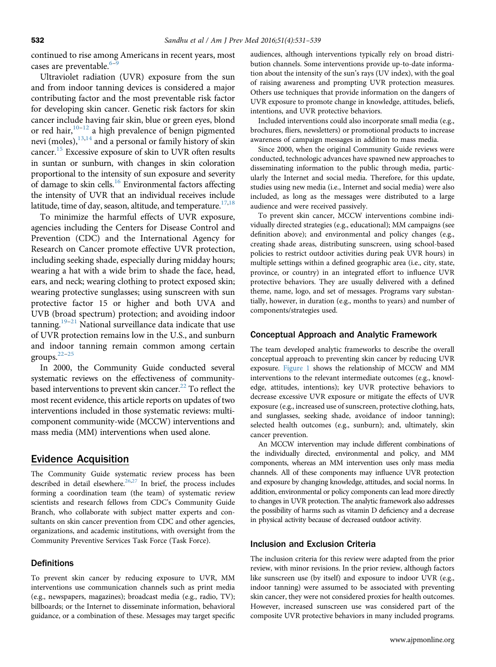continued to rise among Americans in recent years, most cases are preventable.<sup>[6](#page-7-0)-</sup>

Ultraviolet radiation (UVR) exposure from the sun and from indoor tanning devices is considered a major contributing factor and the most preventable risk factor for developing skin cancer. Genetic risk factors for skin cancer include having fair skin, blue or green eyes, blond or red hair,[10](#page-7-0)–[12](#page-7-0) a high prevalence of benign pigmented nevi (moles), <sup>13[,14](#page-8-0)</sup> and a personal or family history of skin cancer[.15](#page-8-0) Excessive exposure of skin to UVR often results in suntan or sunburn, with changes in skin coloration proportional to the intensity of sun exposure and severity of damage to skin cells.[16](#page-8-0) Environmental factors affecting the intensity of UVR that an individual receives include latitude, time of day, season, altitude, and temperature.<sup>[17,18](#page-8-0)</sup>

To minimize the harmful effects of UVR exposure, agencies including the Centers for Disease Control and Prevention (CDC) and the International Agency for Research on Cancer promote effective UVR protection, including seeking shade, especially during midday hours; wearing a hat with a wide brim to shade the face, head, ears, and neck; wearing clothing to protect exposed skin; wearing protective sunglasses; using sunscreen with sun protective factor 15 or higher and both UVA and UVB (broad spectrum) protection; and avoiding indoor tanning.<sup>[19](#page-8-0)–[21](#page-8-0)</sup> National surveillance data indicate that use of UVR protection remains low in the U.S., and sunburn and indoor tanning remain common among certain groups.[22](#page-8-0)–[25](#page-8-0)

In 2000, the Community Guide conducted several systematic reviews on the effectiveness of communitybased interventions to prevent skin cancer. $^{22}$  To reflect the most recent evidence, this article reports on updates of two interventions included in those systematic reviews: multicomponent community-wide (MCCW) interventions and mass media (MM) interventions when used alone.

# Evidence Acquisition

The Community Guide systematic review process has been described in detail elsewhere.<sup>[26,27](#page-8-0)</sup> In brief, the process includes forming a coordination team (the team) of systematic review scientists and research fellows from CDC's Community Guide Branch, who collaborate with subject matter experts and consultants on skin cancer prevention from CDC and other agencies, organizations, and academic institutions, with oversight from the Community Preventive Services Task Force (Task Force).

#### **Definitions**

To prevent skin cancer by reducing exposure to UVR, MM interventions use communication channels such as print media (e.g., newspapers, magazines); broadcast media (e.g., radio, TV); billboards; or the Internet to disseminate information, behavioral guidance, or a combination of these. Messages may target specific

audiences, although interventions typically rely on broad distribution channels. Some interventions provide up-to-date information about the intensity of the sun's rays (UV index), with the goal of raising awareness and prompting UVR protection measures. Others use techniques that provide information on the dangers of UVR exposure to promote change in knowledge, attitudes, beliefs, intentions, and UVR protective behaviors.

Included interventions could also incorporate small media (e.g., brochures, fliers, newsletters) or promotional products to increase awareness of campaign messages in addition to mass media.

Since 2000, when the original Community Guide reviews were conducted, technologic advances have spawned new approaches to disseminating information to the public through media, particularly the Internet and social media. Therefore, for this update, studies using new media (i.e., Internet and social media) were also included, as long as the messages were distributed to a large audience and were received passively.

To prevent skin cancer, MCCW interventions combine individually directed strategies (e.g., educational); MM campaigns (see definition above); and environmental and policy changes (e.g., creating shade areas, distributing sunscreen, using school-based policies to restrict outdoor activities during peak UVR hours) in multiple settings within a defined geographic area (i.e., city, state, province, or country) in an integrated effort to influence UVR protective behaviors. They are usually delivered with a defined theme, name, logo, and set of messages. Programs vary substantially, however, in duration (e.g., months to years) and number of components/strategies used.

#### Conceptual Approach and Analytic Framework

The team developed analytic frameworks to describe the overall conceptual approach to preventing skin cancer by reducing UVR exposure. [Figure 1](#page-2-0) shows the relationship of MCCW and MM interventions to the relevant intermediate outcomes (e.g., knowledge, attitudes, intentions); key UVR protective behaviors to decrease excessive UVR exposure or mitigate the effects of UVR exposure (e.g., increased use of sunscreen, protective clothing, hats, and sunglasses, seeking shade, avoidance of indoor tanning); selected health outcomes (e.g., sunburn); and, ultimately, skin cancer prevention.

An MCCW intervention may include different combinations of the individually directed, environmental and policy, and MM components, whereas an MM intervention uses only mass media channels. All of these components may influence UVR protection and exposure by changing knowledge, attitudes, and social norms. In addition, environmental or policy components can lead more directly to changes in UVR protection. The analytic framework also addresses the possibility of harms such as vitamin D deficiency and a decrease in physical activity because of decreased outdoor activity.

#### Inclusion and Exclusion Criteria

The inclusion criteria for this review were adapted from the prior review, with minor revisions. In the prior review, although factors like sunscreen use (by itself) and exposure to indoor UVR (e.g., indoor tanning) were assumed to be associated with preventing skin cancer, they were not considered proxies for health outcomes. However, increased sunscreen use was considered part of the composite UVR protective behaviors in many included programs.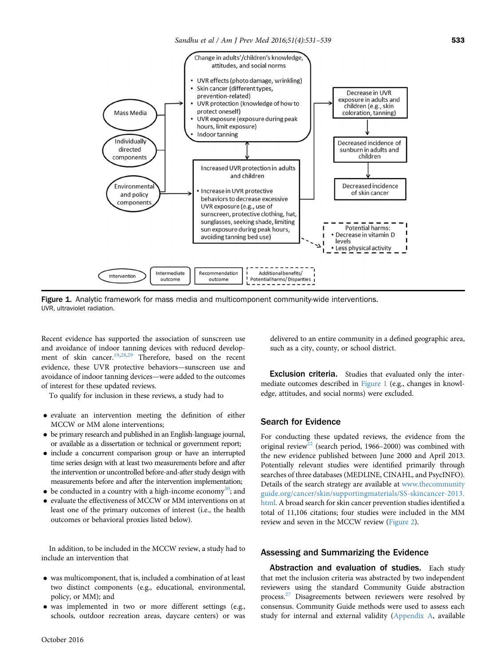<span id="page-2-0"></span>

Figure 1. Analytic framework for mass media and multicomponent community-wide interventions. UVR, ultraviolet radiation.

Recent evidence has supported the association of sunscreen use and avoidance of indoor tanning devices with reduced develop-ment of skin cancer.<sup>[19,28,29](#page-8-0)</sup> Therefore, based on the recent evidence, these UVR protective behaviors—sunscreen use and avoidance of indoor tanning devices—were added to the outcomes of interest for these updated reviews.

To qualify for inclusion in these reviews, a study had to

- evaluate an intervention meeting the definition of either MCCW or MM alone interventions;
- be primary research and published in an English-language journal, or available as a dissertation or technical or government report;
- include a concurrent comparison group or have an interrupted time series design with at least two measurements before and after the intervention or uncontrolled before-and-after study design with measurements before and after the intervention implementation;
- $\bullet$  be conducted in a country with a high-income economy<sup>[30](#page-8-0)</sup>; and
- evaluate the effectiveness of MCCW or MM interventions on at least one of the primary outcomes of interest (i.e., the health outcomes or behavioral proxies listed below).

In addition, to be included in the MCCW review, a study had to include an intervention that

- was multicomponent, that is, included a combination of at least two distinct components (e.g., educational, environmental, policy, or MM); and
- was implemented in two or more different settings (e.g., schools, outdoor recreation areas, daycare centers) or was

delivered to an entire community in a defined geographic area, such as a city, county, or school district.

Exclusion criteria. Studies that evaluated only the intermediate outcomes described in Figure 1 (e.g., changes in knowledge, attitudes, and social norms) were excluded.

## Search for Evidence

For conducting these updated reviews, the evidence from the original review<sup>22</sup> (search period, 1966–2000) was combined with the new evidence published between June 2000 and April 2013. Potentially relevant studies were identified primarily through searches of three databases (MEDLINE, CINAHL, and PsycINFO). Details of the search strategy are available at [www.thecommunity](http://www.thecommunityguide.org/cancer/skin/supportingmaterials/SS-skincancer-2013.html) [guide.org/cancer/skin/supportingmaterials/SS-skincancer-2013.](http://www.thecommunityguide.org/cancer/skin/supportingmaterials/SS-skincancer-2013.html) [html](http://www.thecommunityguide.org/cancer/skin/supportingmaterials/SS-skincancer-2013.html). A broad search for skin cancer prevention studies identified a total of 11,106 citations; four studies were included in the MM review and seven in the MCCW review ([Figure 2\)](#page-3-0).

#### Assessing and Summarizing the Evidence

Abstraction and evaluation of studies. Each study that met the inclusion criteria was abstracted by two independent reviewers using the standard Community Guide abstraction process.<sup>[27](#page-8-0)</sup> Disagreements between reviewers were resolved by consensus. Community Guide methods were used to assess each study for internal and external validity [\(Appendix A,](#page-8-0) available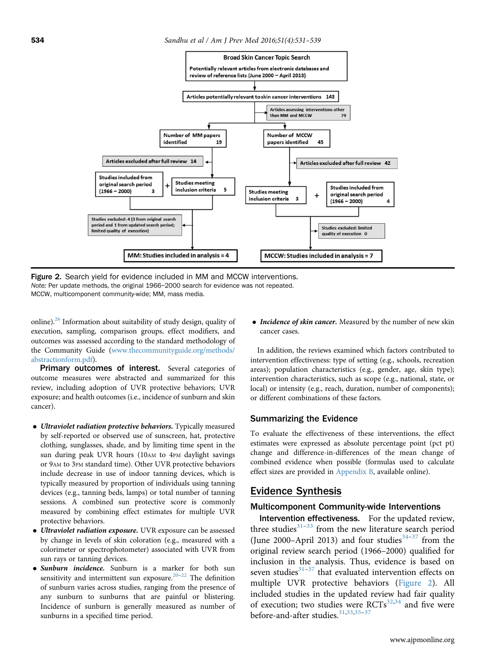<span id="page-3-0"></span>

Figure 2. Search yield for evidence included in MM and MCCW interventions. Note: Per update methods, the original 1966–2000 search for evidence was not repeated. MCCW, multicomponent community-wide; MM, mass media.

online).<sup>[26](#page-8-0)</sup> Information about suitability of study design, quality of execution, sampling, comparison groups, effect modifiers, and outcomes was assessed according to the standard methodology of the Community Guide ([www.thecommunityguide.org/methods/](http://www.thecommunityguide.org/methods/abstractionform.pdf) [abstractionform.pdf](http://www.thecommunityguide.org/methods/abstractionform.pdf)).

**Primary outcomes of interest.** Several categories of outcome measures were abstracted and summarized for this review, including adoption of UVR protective behaviors; UVR exposure; and health outcomes (i.e., incidence of sunburn and skin cancer).

- $\bullet$  Ultraviolet radiation protective behaviors. Typically measured by self-reported or observed use of sunscreen, hat, protective clothing, sunglasses, shade, and by limiting time spent in the sun during peak UVR hours (10AM to 4PM daylight savings or 9AM to 3PM standard time). Other UVR protective behaviors include decrease in use of indoor tanning devices, which is typically measured by proportion of individuals using tanning devices (e.g., tanning beds, lamps) or total number of tanning sessions. A combined sun protective score is commonly measured by combining effect estimates for multiple UVR protective behaviors.
- Ultraviolet radiation exposure. UVR exposure can be assessed by change in levels of skin coloration (e.g., measured with a colorimeter or spectrophotometer) associated with UVR from sun rays or tanning devices.
- Sunburn incidence. Sunburn is a marker for both sun sensitivity and intermittent sun exposure.<sup>[20](#page-8-0)–[22](#page-8-0)</sup> The definition of sunburn varies across studies, ranging from the presence of any sunburn to sunburns that are painful or blistering. Incidence of sunburn is generally measured as number of sunburns in a specified time period.

• Incidence of skin cancer. Measured by the number of new skin cancer cases.

In addition, the reviews examined which factors contributed to intervention effectiveness: type of setting (e.g., schools, recreation areas); population characteristics (e.g., gender, age, skin type); intervention characteristics, such as scope (e.g., national, state, or local) or intensity (e.g., reach, duration, number of components); or different combinations of these factors.

#### Summarizing the Evidence

To evaluate the effectiveness of these interventions, the effect estimates were expressed as absolute percentage point (pct pt) change and difference-in-differences of the mean change of combined evidence when possible (formulas used to calculate effect sizes are provided in [Appendix B,](#page-8-0) available online).

#### Evidence Synthesis

#### Multicomponent Community-wide Interventions

Intervention effectiveness. For the updated review, three studies $31-33$  $31-33$  $31-33$  from the new literature search period (June 2000–April 2013) and four studies $34-37$  $34-37$  from the original review search period (1966–2000) qualified for inclusion in the analysis. Thus, evidence is based on seven studies $31-37$  $31-37$  that evaluated intervention effects on multiple UVR protective behaviors (Figure 2). All included studies in the updated review had fair quality of execution; two studies were  $RCTs^{32,34}$  and five were before-and-after studies.<sup>31,33,[35](#page-8-0)-[37](#page-8-0)</sup>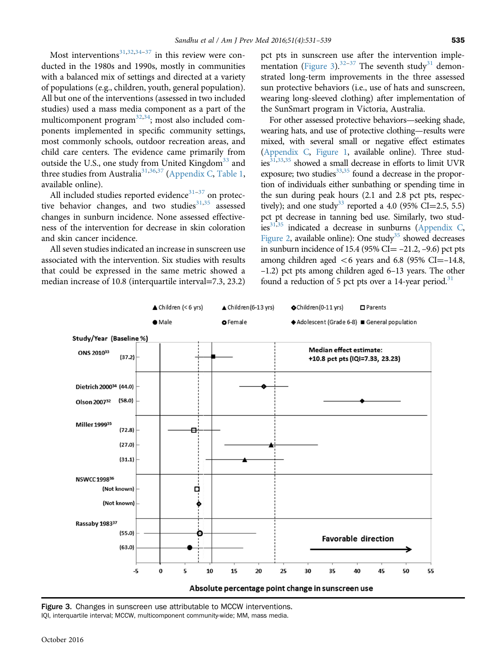Most interventions<sup>[31](#page-8-0),[32,34](#page-8-0)–[37](#page-8-0)</sup> in this review were conducted in the 1980s and 1990s, mostly in communities with a balanced mix of settings and directed at a variety of populations (e.g., children, youth, general population). All but one of the interventions (assessed in two included studies) used a mass media component as a part of the multicomponent program<sup>[32](#page-8-0),34</sup>; most also included components implemented in specific community settings, most commonly schools, outdoor recreation areas, and child care centers. The evidence came primarily from outside the U.S., one study from United Kingdom<sup>[33](#page-8-0)</sup> and three studies from Australia<sup>31,36,[37](#page-8-0)</sup> [\(Appendix C](#page-8-0), [Table 1,](#page-8-0) available online).

All included studies reported evidence $31-37$  $31-37$  $31-37$  on protective behavior changes, and two studies $31,35$  $31,35$  $31,35$  assessed changes in sunburn incidence. None assessed effectiveness of the intervention for decrease in skin coloration and skin cancer incidence.

All seven studies indicated an increase in sunscreen use associated with the intervention. Six studies with results that could be expressed in the same metric showed a median increase of 10.8 (interquartile interval=7.3, 23.2)

pct pts in sunscreen use after the intervention imple-mentation (Figure 3).<sup>[32](#page-8-0)–[37](#page-8-0)</sup> The seventh study<sup>[31](#page-8-0)</sup> demonstrated long-term improvements in the three assessed sun protective behaviors (i.e., use of hats and sunscreen, wearing long-sleeved clothing) after implementation of the SunSmart program in Victoria, Australia.

For other assessed protective behaviors—seeking shade, wearing hats, and use of protective clothing—results were mixed, with several small or negative effect estimates [\(Appendix C](#page-8-0), [Figure 1,](#page-8-0) available online). Three studies $31,33,35$  showed a small decrease in efforts to limit UVR exposure; two studies $^{33,35}$  found a decrease in the proportion of individuals either sunbathing or spending time in the sun during peak hours (2.1 and 2.8 pct pts, respec-tively); and one study<sup>[33](#page-8-0)</sup> reported a 4.0 (95% CI=2.5, 5.5) pct pt decrease in tanning bed use. Similarly, two stud-ies<sup>31,35</sup> indicated a decrease in sunburns ([Appendix C,](#page-8-0) [Figure 2,](#page-8-0) available online): One study<sup>[35](#page-8-0)</sup> showed decreases in sunburn incidence of 15.4 (95% CI $=$  -21.2, -9.6) pct pts among children aged  $<6$  years and 6.8 (95% CI=-14.8, –1.2) pct pts among children aged 6–13 years. The other found a reduction of 5 pct pts over a 14-year period.<sup>[31](#page-8-0)</sup>



Figure 3. Changes in sunscreen use attributable to MCCW interventions. IQI, interquartile interval; MCCW, multicomponent community-wide; MM, mass media.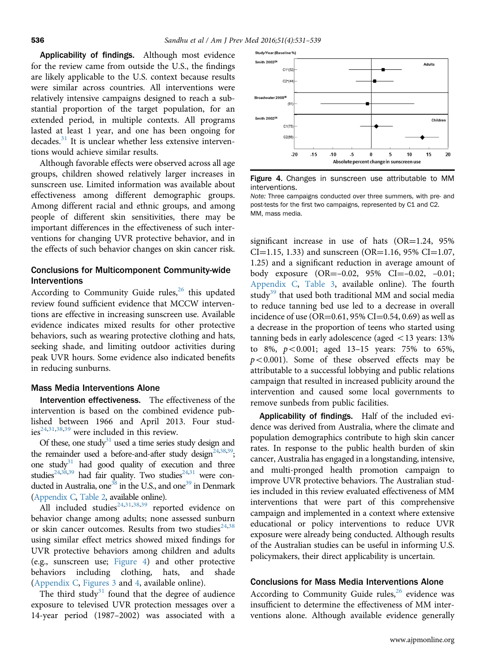Applicability of findings. Although most evidence for the review came from outside the U.S., the findings are likely applicable to the U.S. context because results were similar across countries. All interventions were relatively intensive campaigns designed to reach a substantial proportion of the target population, for an extended period, in multiple contexts. All programs lasted at least 1 year, and one has been ongoing for decades.<sup>[31](#page-8-0)</sup> It is unclear whether less extensive interventions would achieve similar results.

Although favorable effects were observed across all age groups, children showed relatively larger increases in sunscreen use. Limited information was available about effectiveness among different demographic groups. Among different racial and ethnic groups, and among people of different skin sensitivities, there may be important differences in the effectiveness of such interventions for changing UVR protective behavior, and in the effects of such behavior changes on skin cancer risk.

# Conclusions for Multicomponent Community-wide Interventions

According to Community Guide rules, $^{26}$  this updated review found sufficient evidence that MCCW interventions are effective in increasing sunscreen use. Available evidence indicates mixed results for other protective behaviors, such as wearing protective clothing and hats, seeking shade, and limiting outdoor activities during peak UVR hours. Some evidence also indicated benefits in reducing sunburns.

#### Mass Media Interventions Alone

Intervention effectiveness. The effectiveness of the intervention is based on the combined evidence published between 1966 and April 2013. Four stud-ies<sup>[24,31,38,39](#page-8-0)</sup> were included in this review.

Of these, one study<sup>[31](#page-8-0)</sup> used a time series study design and the remainder used a before-and-after study design<sup>24,[38,39](#page-8-0)</sup>; one study $31$  had good quality of execution and three studies<sup>[24,38,39](#page-8-0)</sup> had fair quality. Two studies<sup>24,31</sup> were conducted in Australia, one<sup>38</sup> in the U.S., and one<sup>39</sup> in Denmark [\(Appendix C,](#page-8-0) [Table 2](#page-8-0), available online).

All included studies<sup>24,31,38,[39](#page-8-0)</sup> reported evidence on behavior change among adults; none assessed sunburn or skin cancer outcomes. Results from two studies<sup>24,38</sup> using similar effect metrics showed mixed findings for UVR protective behaviors among children and adults (e.g., sunscreen use; Figure 4) and other protective behaviors including clothing, hats, and shade ([Appendix C,](#page-8-0) [Figures 3](#page-8-0) and [4,](#page-8-0) available online).

The third study<sup>[31](#page-8-0)</sup> found that the degree of audience exposure to televised UVR protection messages over a 14-year period (1987–2002) was associated with a



Figure 4. Changes in sunscreen use attributable to MM interventions.

Note: Three campaigns conducted over three summers, with pre- and post-tests for the first two campaigns, represented by C1 and C2. MM, mass media.

significant increase in use of hats  $(OR=1.24, 95\%)$  $CI=1.15, 1.33$  and sunscreen (OR=1.16, 95% CI=1.07, 1.25) and a significant reduction in average amount of body exposure  $(OR=-0.02, 95\% \text{ CI}=-0.02, -0.01;$ [Appendix C,](#page-8-0) [Table 3,](#page-8-0) available online). The fourth study<sup>[39](#page-8-0)</sup> that used both traditional MM and social media to reduce tanning bed use led to a decrease in overall incidence of use (OR=0.61, 95% CI=0.54, 0.69) as well as a decrease in the proportion of teens who started using tanning beds in early adolescence (aged  $<$  13 years: 13% to 8%,  $p < 0.001$ ; aged 13-15 years: 75% to 65%,  $p < 0.001$ ). Some of these observed effects may be attributable to a successful lobbying and public relations campaign that resulted in increased publicity around the intervention and caused some local governments to remove sunbeds from public facilities.

Applicability of findings. Half of the included evidence was derived from Australia, where the climate and population demographics contribute to high skin cancer rates. In response to the public health burden of skin cancer, Australia has engaged in a longstanding, intensive, and multi-pronged health promotion campaign to improve UVR protective behaviors. The Australian studies included in this review evaluated effectiveness of MM interventions that were part of this comprehensive campaign and implemented in a context where extensive educational or policy interventions to reduce UVR exposure were already being conducted. Although results of the Australian studies can be useful in informing U.S. policymakers, their direct applicability is uncertain.

# Conclusions for Mass Media Interventions Alone

According to Community Guide rules,  $^{26}$  $^{26}$  $^{26}$  evidence was insufficient to determine the effectiveness of MM interventions alone. Although available evidence generally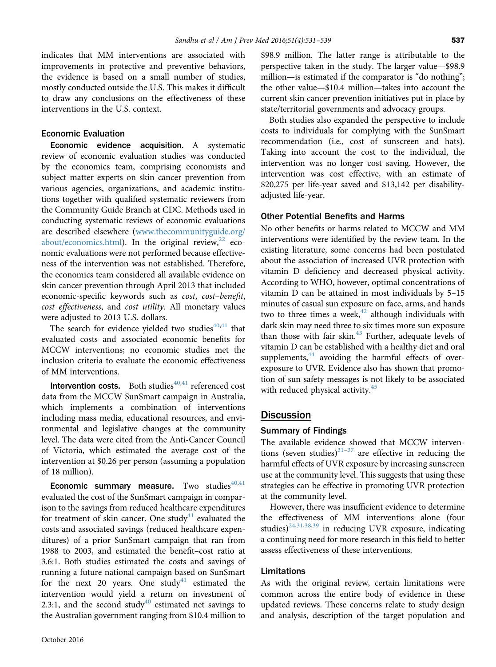indicates that MM interventions are associated with improvements in protective and preventive behaviors, the evidence is based on a small number of studies, mostly conducted outside the U.S. This makes it difficult to draw any conclusions on the effectiveness of these interventions in the U.S. context.

#### Economic Evaluation

Economic evidence acquisition. A systematic review of economic evaluation studies was conducted by the economics team, comprising economists and subject matter experts on skin cancer prevention from various agencies, organizations, and academic institutions together with qualifıed systematic reviewers from the Community Guide Branch at CDC. Methods used in conducting systematic reviews of economic evaluations are described elsewhere ([www.thecommunityguide.org/](http://www.thecommunityguide.org/about/economics.html) [about/economics.html\)](http://www.thecommunityguide.org/about/economics.html). In the original review, $^{22}$  economic evaluations were not performed because effectiveness of the intervention was not established. Therefore, the economics team considered all available evidence on skin cancer prevention through April 2013 that included economic-specific keywords such as cost, cost–benefit, cost effectiveness, and cost utility. All monetary values were adjusted to 2013 U.S. dollars.

The search for evidence yielded two studies $40,41$  $40,41$  $40,41$  that evaluated costs and associated economic benefits for MCCW interventions; no economic studies met the inclusion criteria to evaluate the economic effectiveness of MM interventions.

**Intervention costs.** Both studies<sup> $40,41$ </sup> referenced cost data from the MCCW SunSmart campaign in Australia, which implements a combination of interventions including mass media, educational resources, and environmental and legislative changes at the community level. The data were cited from the Anti-Cancer Council of Victoria, which estimated the average cost of the intervention at \$0.26 per person (assuming a population of 18 million).

**Economic summary measure.** Two studies $40,41$ evaluated the cost of the SunSmart campaign in comparison to the savings from reduced healthcare expenditures for treatment of skin cancer. One study<sup>[41](#page-8-0)</sup> evaluated the costs and associated savings (reduced healthcare expenditures) of a prior SunSmart campaign that ran from 1988 to 2003, and estimated the benefit–cost ratio at 3.6:1. Both studies estimated the costs and savings of running a future national campaign based on SunSmart for the next 20 years. One study<sup>[41](#page-8-0)</sup> estimated the intervention would yield a return on investment of 2.3:1, and the second study $40$  estimated net savings to the Australian government ranging from \$10.4 million to \$98.9 million. The latter range is attributable to the perspective taken in the study. The larger value—\$98.9 million—is estimated if the comparator is "do nothing"; the other value—\$10.4 million—takes into account the current skin cancer prevention initiatives put in place by state/territorial governments and advocacy groups.

Both studies also expanded the perspective to include costs to individuals for complying with the SunSmart recommendation (i.e., cost of sunscreen and hats). Taking into account the cost to the individual, the intervention was no longer cost saving. However, the intervention was cost effective, with an estimate of \$20,275 per life-year saved and \$13,142 per disabilityadjusted life-year.

## Other Potential Benefits and Harms

No other benefits or harms related to MCCW and MM interventions were identified by the review team. In the existing literature, some concerns had been postulated about the association of increased UVR protection with vitamin D deficiency and decreased physical activity. According to WHO, however, optimal concentrations of vitamin D can be attained in most individuals by 5–15 minutes of casual sun exposure on face, arms, and hands two to three times a week, $42$  although individuals with dark skin may need three to six times more sun exposure than those with fair skin. $43$  Further, adequate levels of vitamin D can be established with a healthy diet and oral supplements, $^{44}$  $^{44}$  $^{44}$  avoiding the harmful effects of overexposure to UVR. Evidence also has shown that promotion of sun safety messages is not likely to be associated with reduced physical activity. $45$ 

# **Discussion**

#### Summary of Findings

The available evidence showed that MCCW interventions (seven studies) $31-37$  $31-37$  are effective in reducing the harmful effects of UVR exposure by increasing sunscreen use at the community level. This suggests that using these strategies can be effective in promoting UVR protection at the community level.

However, there was insufficient evidence to determine the effectiveness of MM interventions alone (four studies) $24,31,38,39$  $24,31,38,39$  in reducing UVR exposure, indicating a continuing need for more research in this field to better assess effectiveness of these interventions.

# Limitations

As with the original review, certain limitations were common across the entire body of evidence in these updated reviews. These concerns relate to study design and analysis, description of the target population and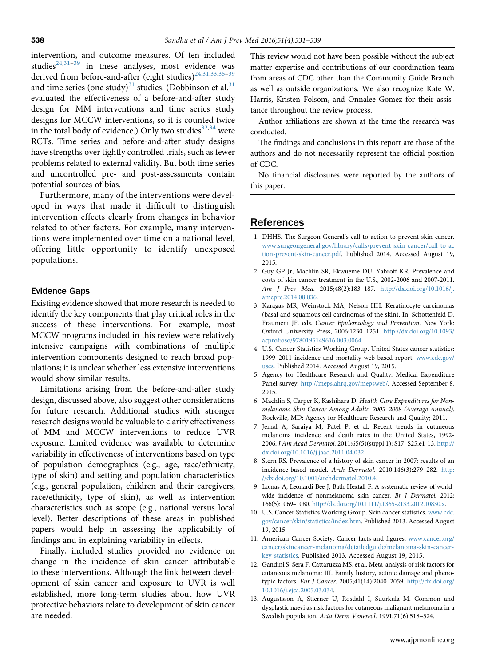<span id="page-7-0"></span>intervention, and outcome measures. Of ten included studies $24,31-39$  $24,31-39$  $24,31-39$  in these analyses, most evidence was derived from before-and-after (eight studies)<sup>24,31,33,[35](#page-8-0)-[39](#page-8-0)</sup> and time series (one study)<sup>[31](#page-8-0)</sup> studies. (Dobbinson et al.<sup>31</sup> evaluated the effectiveness of a before-and-after study design for MM interventions and time series study designs for MCCW interventions, so it is counted twice in the total body of evidence.) Only two studies $32,34$  were RCTs. Time series and before-and-after study designs have strengths over tightly controlled trials, such as fewer problems related to external validity. But both time series and uncontrolled pre- and post-assessments contain potential sources of bias.

Furthermore, many of the interventions were developed in ways that made it difficult to distinguish intervention effects clearly from changes in behavior related to other factors. For example, many interventions were implemented over time on a national level, offering little opportunity to identify unexposed populations.

#### Evidence Gaps

Existing evidence showed that more research is needed to identify the key components that play critical roles in the success of these interventions. For example, most MCCW programs included in this review were relatively intensive campaigns with combinations of multiple intervention components designed to reach broad populations; it is unclear whether less extensive interventions would show similar results.

Limitations arising from the before-and-after study design, discussed above, also suggest other considerations for future research. Additional studies with stronger research designs would be valuable to clarify effectiveness of MM and MCCW interventions to reduce UVR exposure. Limited evidence was available to determine variability in effectiveness of interventions based on type of population demographics (e.g., age, race/ethnicity, type of skin) and setting and population characteristics (e.g., general population, children and their caregivers, race/ethnicity, type of skin), as well as intervention characteristics such as scope (e.g., national versus local level). Better descriptions of these areas in published papers would help in assessing the applicability of findings and in explaining variability in effects.

Finally, included studies provided no evidence on change in the incidence of skin cancer attributable to these interventions. Although the link between development of skin cancer and exposure to UVR is well established, more long-term studies about how UVR protective behaviors relate to development of skin cancer are needed.

This review would not have been possible without the subject matter expertise and contributions of our coordination team from areas of CDC other than the Community Guide Branch as well as outside organizations. We also recognize Kate W. Harris, Kristen Folsom, and Onnalee Gomez for their assistance throughout the review process.

Author affiliations are shown at the time the research was conducted.

The findings and conclusions in this report are those of the authors and do not necessarily represent the official position of CDC.

No financial disclosures were reported by the authors of this paper.

# References

- 1. DHHS. The Surgeon General's call to action to prevent skin cancer. [www.surgeongeneral.gov/library/calls/prevent-skin-cancer/call-to-ac](http://www.surgeongeneral.gov/library/calls/prevent-skin-cancer/call-to-action-prevent-skin-cancer.pdf) [tion-prevent-skin-cancer.pdf](http://www.surgeongeneral.gov/library/calls/prevent-skin-cancer/call-to-action-prevent-skin-cancer.pdf). Published 2014. Accessed August 19, 2015.
- 2. Guy GP Jr, Machlin SR, Ekwueme DU, Yabroff KR. Prevalence and costs of skin cancer treatment in the U.S., 2002-2006 and 2007-2011. Am J Prev Med. 2015;48(2):183–187. [http://dx.doi.org/10.1016/j.](http://dx.doi.org/10.1016/j.amepre.2014.08.036) [amepre.2014.08.036.](http://dx.doi.org/10.1016/j.amepre.2014.08.036)
- 3. Karagas MR, Weinstock MA, Nelson HH. Keratinocyte carcinomas (basal and squamous cell carcinomas of the skin). In: Schottenfeld D, Fraumeni JF, eds. Cancer Epidemiology and Prevention. New York: Oxford University Press, 2006:1230–1251. [http://dx.doi.org/10.1093/](http://dx.doi.org/10.1093/acprof:oso/9780195149616.003.0064) [acprof:oso/9780195149616.003.0064.](http://dx.doi.org/10.1093/acprof:oso/9780195149616.003.0064)
- 4. U.S. Cancer Statistics Working Group. United States cancer statistics: 1999–2011 incidence and mortality web-based report. [www.cdc.gov/](http://www.cdc.gov/uscs) [uscs.](http://www.cdc.gov/uscs) Published 2014. Accessed August 19, 2015.
- 5. Agency for Healthcare Research and Quality. Medical Expenditure Panel survey. [http://meps.ahrq.gov/mepsweb/.](http://meps.ahrq.gov/mepsweb/) Accessed September 8, 2015.
- 6. Machlin S, Carper K, Kashihara D. Health Care Expenditures for Nonmelanoma Skin Cancer Among Adults, 2005–2008 (Average Annual). Rockville, MD: Agency for Healthcare Research and Quality; 2011.
- 7. Jemal A, Saraiya M, Patel P, et al. Recent trends in cutaneous melanoma incidence and death rates in the United States, 1992- 2006. J Am Acad Dermatol. 2011;65(5)(suppl 1): S17–S25.e1-13. [http://](http://dx.doi.org/10.1016/j.jaad.2011.04.032) [dx.doi.org/10.1016/j.jaad.2011.04.032.](http://dx.doi.org/10.1016/j.jaad.2011.04.032)
- 8. Stern RS. Prevalence of a history of skin cancer in 2007: results of an incidence-based model. Arch Dermatol. 2010;146(3):279–282. [http:](http://dx.doi.org/10.1001/archdermatol.2010.4) [//dx.doi.org/10.1001/archdermatol.2010.4.](http://dx.doi.org/10.1001/archdermatol.2010.4)
- 9. Lomas A, Leonardi‐Bee J, Bath‐Hextall F. A systematic review of worldwide incidence of nonmelanoma skin cancer. Br J Dermatol. 2012; 166(5):1069–1080. [http://dx.doi.org/10.1111/j.1365-2133.2012.10830.x.](http://dx.doi.org/10.1111/j.1365-2133.2012.10830.x)
- 10. U.S. Cancer Statistics Working Group. Skin cancer statistics. [www.cdc.](http://www.cdc.gov/cancer/skin/statistics/index.htm) [gov/cancer/skin/statistics/index.htm](http://www.cdc.gov/cancer/skin/statistics/index.htm). Published 2013. Accessed August 19, 2015.
- 11. American Cancer Society. Cancer facts and figures. [www.cancer.org/](http://www.cancer.org/cancer/skincancer-melanoma/detailedguide/melanoma-skin-cancer-key-statistics) [cancer/skincancer-melanoma/detailedguide/melanoma-skin-cancer](http://www.cancer.org/cancer/skincancer-melanoma/detailedguide/melanoma-skin-cancer-key-statistics)[key-statistics](http://www.cancer.org/cancer/skincancer-melanoma/detailedguide/melanoma-skin-cancer-key-statistics). Published 2013. Accessed August 19, 2015.
- 12. Gandini S, Sera F, Cattaruzza MS, et al. Meta-analysis of risk factors for cutaneous melanoma: III. Family history, actinic damage and phenotypic factors. Eur J Cancer. 2005;41(14):2040–2059. [http://dx.doi.org/](http://dx.doi.org/10.1016/j.ejca.2005.03.034) [10.1016/j.ejca.2005.03.034](http://dx.doi.org/10.1016/j.ejca.2005.03.034).
- 13. Augustsson A, Stierner U, Rosdahl I, Suurkula M. Common and dysplastic naevi as risk factors for cutaneous malignant melanoma in a Swedish population. Acta Derm Venereol. 1991;71(6):518–524.